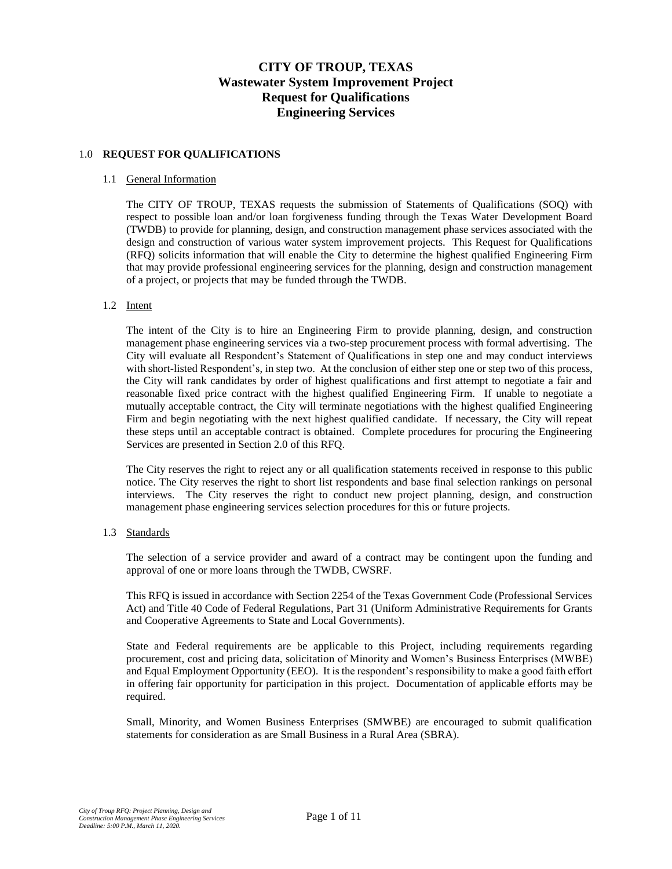# **CITY OF TROUP, TEXAS Wastewater System Improvement Project Request for Qualifications Engineering Services**

# 1.0 **REQUEST FOR QUALIFICATIONS**

## 1.1 General Information

The CITY OF TROUP, TEXAS requests the submission of Statements of Qualifications (SOQ) with respect to possible loan and/or loan forgiveness funding through the Texas Water Development Board (TWDB) to provide for planning, design, and construction management phase services associated with the design and construction of various water system improvement projects. This Request for Qualifications (RFQ) solicits information that will enable the City to determine the highest qualified Engineering Firm that may provide professional engineering services for the planning, design and construction management of a project, or projects that may be funded through the TWDB.

## 1.2 Intent

The intent of the City is to hire an Engineering Firm to provide planning, design, and construction management phase engineering services via a two-step procurement process with formal advertising. The City will evaluate all Respondent's Statement of Qualifications in step one and may conduct interviews with short-listed Respondent's, in step two. At the conclusion of either step one or step two of this process, the City will rank candidates by order of highest qualifications and first attempt to negotiate a fair and reasonable fixed price contract with the highest qualified Engineering Firm. If unable to negotiate a mutually acceptable contract, the City will terminate negotiations with the highest qualified Engineering Firm and begin negotiating with the next highest qualified candidate. If necessary, the City will repeat these steps until an acceptable contract is obtained. Complete procedures for procuring the Engineering Services are presented in Section 2.0 of this RFQ.

The City reserves the right to reject any or all qualification statements received in response to this public notice. The City reserves the right to short list respondents and base final selection rankings on personal interviews. The City reserves the right to conduct new project planning, design, and construction management phase engineering services selection procedures for this or future projects.

#### 1.3 Standards

The selection of a service provider and award of a contract may be contingent upon the funding and approval of one or more loans through the TWDB, CWSRF.

This RFQ is issued in accordance with Section 2254 of the Texas Government Code (Professional Services Act) and Title 40 Code of Federal Regulations, Part 31 (Uniform Administrative Requirements for Grants and Cooperative Agreements to State and Local Governments).

State and Federal requirements are be applicable to this Project, including requirements regarding procurement, cost and pricing data, solicitation of Minority and Women's Business Enterprises (MWBE) and Equal Employment Opportunity (EEO). It is the respondent's responsibility to make a good faith effort in offering fair opportunity for participation in this project. Documentation of applicable efforts may be required.

Small, Minority, and Women Business Enterprises (SMWBE) are encouraged to submit qualification statements for consideration as are Small Business in a Rural Area (SBRA).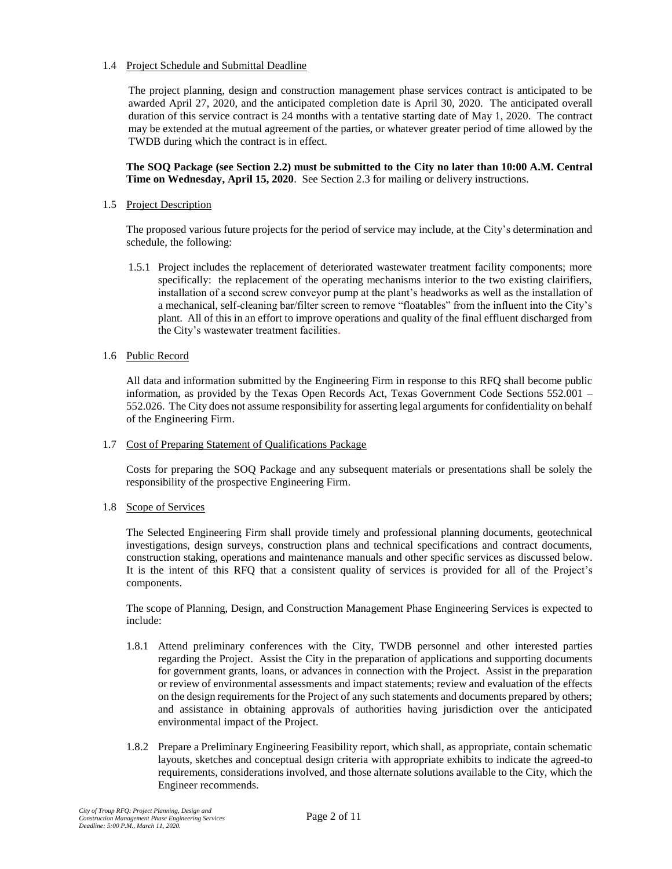# 1.4 Project Schedule and Submittal Deadline

The project planning, design and construction management phase services contract is anticipated to be awarded April 27, 2020, and the anticipated completion date is April 30, 2020. The anticipated overall duration of this service contract is 24 months with a tentative starting date of May 1, 2020. The contract may be extended at the mutual agreement of the parties, or whatever greater period of time allowed by the TWDB during which the contract is in effect.

## **The SOQ Package (see Section 2.2) must be submitted to the City no later than 10:00 A.M. Central Time on Wednesday, April 15, 2020**. See Section 2.3 for mailing or delivery instructions.

## 1.5 Project Description

The proposed various future projects for the period of service may include, at the City's determination and schedule, the following:

1.5.1 Project includes the replacement of deteriorated wastewater treatment facility components; more specifically: the replacement of the operating mechanisms interior to the two existing clairifiers, installation of a second screw conveyor pump at the plant's headworks as well as the installation of a mechanical, self-cleaning bar/filter screen to remove "floatables" from the influent into the City's plant. All of this in an effort to improve operations and quality of the final effluent discharged from the City's wastewater treatment facilities.

## 1.6 Public Record

All data and information submitted by the Engineering Firm in response to this RFQ shall become public information, as provided by the Texas Open Records Act, Texas Government Code Sections 552.001 – 552.026. The City does not assume responsibility for asserting legal arguments for confidentiality on behalf of the Engineering Firm.

# 1.7 Cost of Preparing Statement of Qualifications Package

Costs for preparing the SOQ Package and any subsequent materials or presentations shall be solely the responsibility of the prospective Engineering Firm.

# 1.8 Scope of Services

The Selected Engineering Firm shall provide timely and professional planning documents, geotechnical investigations, design surveys, construction plans and technical specifications and contract documents, construction staking, operations and maintenance manuals and other specific services as discussed below. It is the intent of this RFQ that a consistent quality of services is provided for all of the Project's components.

The scope of Planning, Design, and Construction Management Phase Engineering Services is expected to include:

- 1.8.1 Attend preliminary conferences with the City, TWDB personnel and other interested parties regarding the Project. Assist the City in the preparation of applications and supporting documents for government grants, loans, or advances in connection with the Project. Assist in the preparation or review of environmental assessments and impact statements; review and evaluation of the effects on the design requirements for the Project of any such statements and documents prepared by others; and assistance in obtaining approvals of authorities having jurisdiction over the anticipated environmental impact of the Project.
- 1.8.2 Prepare a Preliminary Engineering Feasibility report, which shall, as appropriate, contain schematic layouts, sketches and conceptual design criteria with appropriate exhibits to indicate the agreed-to requirements, considerations involved, and those alternate solutions available to the City, which the Engineer recommends.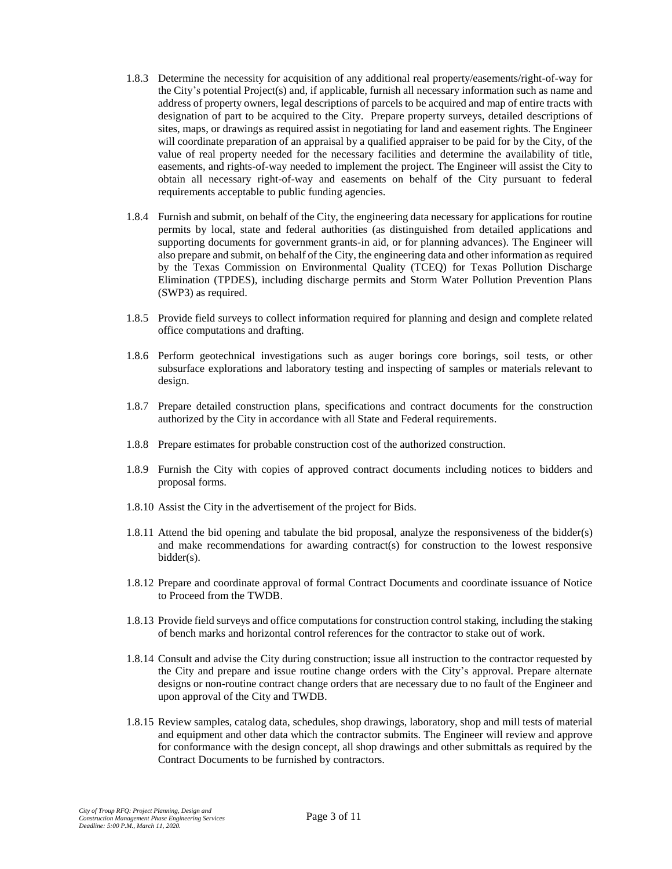- 1.8.3 Determine the necessity for acquisition of any additional real property/easements/right-of-way for the City's potential Project(s) and, if applicable, furnish all necessary information such as name and address of property owners, legal descriptions of parcels to be acquired and map of entire tracts with designation of part to be acquired to the City. Prepare property surveys, detailed descriptions of sites, maps, or drawings as required assist in negotiating for land and easement rights. The Engineer will coordinate preparation of an appraisal by a qualified appraiser to be paid for by the City, of the value of real property needed for the necessary facilities and determine the availability of title, easements, and rights-of-way needed to implement the project. The Engineer will assist the City to obtain all necessary right-of-way and easements on behalf of the City pursuant to federal requirements acceptable to public funding agencies.
- 1.8.4 Furnish and submit, on behalf of the City, the engineering data necessary for applications for routine permits by local, state and federal authorities (as distinguished from detailed applications and supporting documents for government grants-in aid, or for planning advances). The Engineer will also prepare and submit, on behalf of the City, the engineering data and other information as required by the Texas Commission on Environmental Quality (TCEQ) for Texas Pollution Discharge Elimination (TPDES), including discharge permits and Storm Water Pollution Prevention Plans (SWP3) as required.
- 1.8.5 Provide field surveys to collect information required for planning and design and complete related office computations and drafting.
- 1.8.6 Perform geotechnical investigations such as auger borings core borings, soil tests, or other subsurface explorations and laboratory testing and inspecting of samples or materials relevant to design.
- 1.8.7 Prepare detailed construction plans, specifications and contract documents for the construction authorized by the City in accordance with all State and Federal requirements.
- 1.8.8 Prepare estimates for probable construction cost of the authorized construction.
- 1.8.9 Furnish the City with copies of approved contract documents including notices to bidders and proposal forms.
- 1.8.10 Assist the City in the advertisement of the project for Bids.
- 1.8.11 Attend the bid opening and tabulate the bid proposal, analyze the responsiveness of the bidder(s) and make recommendations for awarding contract(s) for construction to the lowest responsive bidder(s).
- 1.8.12 Prepare and coordinate approval of formal Contract Documents and coordinate issuance of Notice to Proceed from the TWDB.
- 1.8.13 Provide field surveys and office computations for construction control staking, including the staking of bench marks and horizontal control references for the contractor to stake out of work.
- 1.8.14 Consult and advise the City during construction; issue all instruction to the contractor requested by the City and prepare and issue routine change orders with the City's approval. Prepare alternate designs or non-routine contract change orders that are necessary due to no fault of the Engineer and upon approval of the City and TWDB.
- 1.8.15 Review samples, catalog data, schedules, shop drawings, laboratory, shop and mill tests of material and equipment and other data which the contractor submits. The Engineer will review and approve for conformance with the design concept, all shop drawings and other submittals as required by the Contract Documents to be furnished by contractors.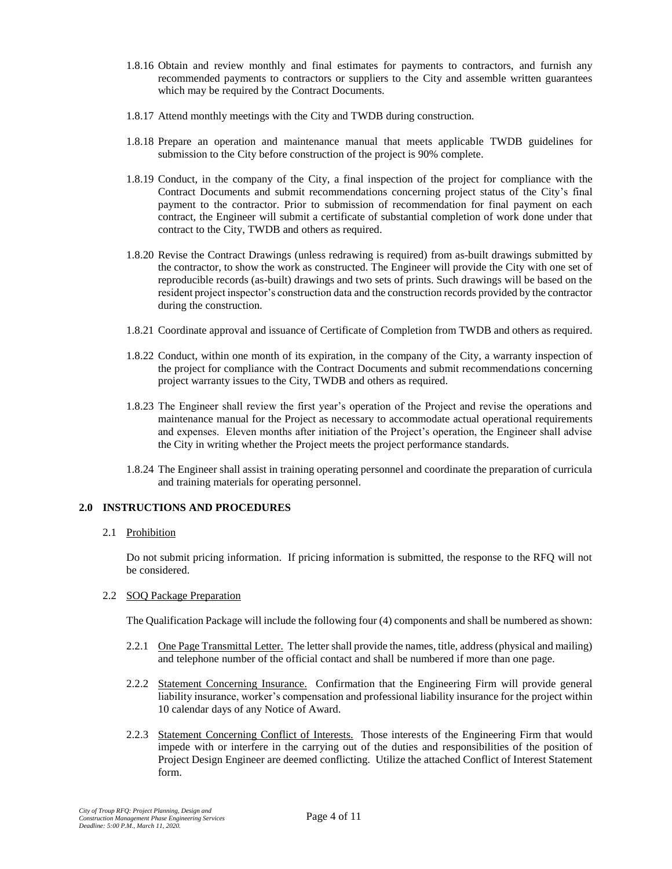- 1.8.16 Obtain and review monthly and final estimates for payments to contractors, and furnish any recommended payments to contractors or suppliers to the City and assemble written guarantees which may be required by the Contract Documents.
- 1.8.17 Attend monthly meetings with the City and TWDB during construction.
- 1.8.18 Prepare an operation and maintenance manual that meets applicable TWDB guidelines for submission to the City before construction of the project is 90% complete.
- 1.8.19 Conduct, in the company of the City, a final inspection of the project for compliance with the Contract Documents and submit recommendations concerning project status of the City's final payment to the contractor. Prior to submission of recommendation for final payment on each contract, the Engineer will submit a certificate of substantial completion of work done under that contract to the City, TWDB and others as required.
- 1.8.20 Revise the Contract Drawings (unless redrawing is required) from as-built drawings submitted by the contractor, to show the work as constructed. The Engineer will provide the City with one set of reproducible records (as-built) drawings and two sets of prints. Such drawings will be based on the resident project inspector's construction data and the construction records provided by the contractor during the construction.
- 1.8.21 Coordinate approval and issuance of Certificate of Completion from TWDB and others as required.
- 1.8.22 Conduct, within one month of its expiration, in the company of the City, a warranty inspection of the project for compliance with the Contract Documents and submit recommendations concerning project warranty issues to the City, TWDB and others as required.
- 1.8.23 The Engineer shall review the first year's operation of the Project and revise the operations and maintenance manual for the Project as necessary to accommodate actual operational requirements and expenses. Eleven months after initiation of the Project's operation, the Engineer shall advise the City in writing whether the Project meets the project performance standards.
- 1.8.24 The Engineer shall assist in training operating personnel and coordinate the preparation of curricula and training materials for operating personnel.

# **2.0 INSTRUCTIONS AND PROCEDURES**

#### 2.1 Prohibition

Do not submit pricing information. If pricing information is submitted, the response to the RFQ will not be considered.

#### 2.2 SOQ Package Preparation

The Qualification Package will include the following four (4) components and shall be numbered as shown:

- 2.2.1 One Page Transmittal Letter. The letter shall provide the names, title, address (physical and mailing) and telephone number of the official contact and shall be numbered if more than one page.
- 2.2.2 Statement Concerning Insurance. Confirmation that the Engineering Firm will provide general liability insurance, worker's compensation and professional liability insurance for the project within 10 calendar days of any Notice of Award.
- 2.2.3 Statement Concerning Conflict of Interests. Those interests of the Engineering Firm that would impede with or interfere in the carrying out of the duties and responsibilities of the position of Project Design Engineer are deemed conflicting. Utilize the attached Conflict of Interest Statement form.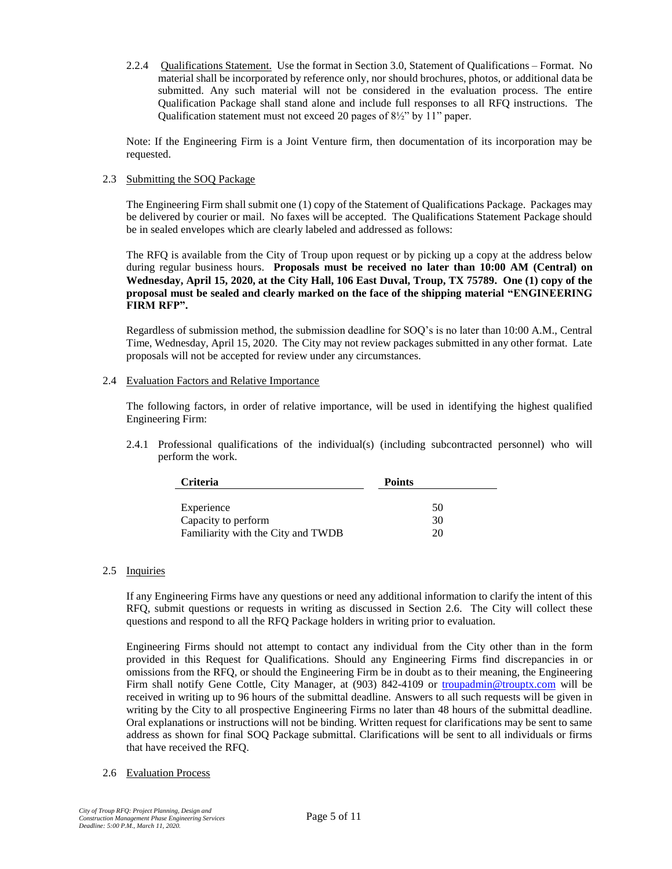2.2.4 Qualifications Statement. Use the format in Section 3.0, Statement of Qualifications – Format. No material shall be incorporated by reference only, nor should brochures, photos, or additional data be submitted. Any such material will not be considered in the evaluation process. The entire Qualification Package shall stand alone and include full responses to all RFQ instructions. The Qualification statement must not exceed 20 pages of 8½" by 11" paper.

Note: If the Engineering Firm is a Joint Venture firm, then documentation of its incorporation may be requested.

# 2.3 Submitting the SOQ Package

The Engineering Firm shall submit one (1) copy of the Statement of Qualifications Package. Packages may be delivered by courier or mail. No faxes will be accepted. The Qualifications Statement Package should be in sealed envelopes which are clearly labeled and addressed as follows:

The RFQ is available from the City of Troup upon request or by picking up a copy at the address below during regular business hours. **Proposals must be received no later than 10:00 AM (Central) on Wednesday, April 15, 2020, at the City Hall, 106 East Duval, Troup, TX 75789. One (1) copy of the proposal must be sealed and clearly marked on the face of the shipping material "ENGINEERING FIRM RFP".**

Regardless of submission method, the submission deadline for SOQ's is no later than 10:00 A.M., Central Time, Wednesday, April 15, 2020. The City may not review packages submitted in any other format. Late proposals will not be accepted for review under any circumstances.

## 2.4 Evaluation Factors and Relative Importance

The following factors, in order of relative importance, will be used in identifying the highest qualified Engineering Firm:

2.4.1 Professional qualifications of the individual(s) (including subcontracted personnel) who will perform the work.

| <b>Criteria</b>                    | <b>Points</b> |  |
|------------------------------------|---------------|--|
|                                    |               |  |
| Experience                         | 50            |  |
| Capacity to perform                | 30            |  |
| Familiarity with the City and TWDB | 20            |  |

# 2.5 Inquiries

If any Engineering Firms have any questions or need any additional information to clarify the intent of this RFQ, submit questions or requests in writing as discussed in Section 2.6. The City will collect these questions and respond to all the RFQ Package holders in writing prior to evaluation.

Engineering Firms should not attempt to contact any individual from the City other than in the form provided in this Request for Qualifications. Should any Engineering Firms find discrepancies in or omissions from the RFQ, or should the Engineering Firm be in doubt as to their meaning, the Engineering Firm shall notify Gene Cottle, City Manager, at (903) 842-4109 or [troupadmin@trouptx.com](mailto:troupadmin@trouptx.com) will be received in writing up to 96 hours of the submittal deadline. Answers to all such requests will be given in writing by the City to all prospective Engineering Firms no later than 48 hours of the submittal deadline. Oral explanations or instructions will not be binding. Written request for clarifications may be sent to same address as shown for final SOQ Package submittal. Clarifications will be sent to all individuals or firms that have received the RFQ.

# 2.6 Evaluation Process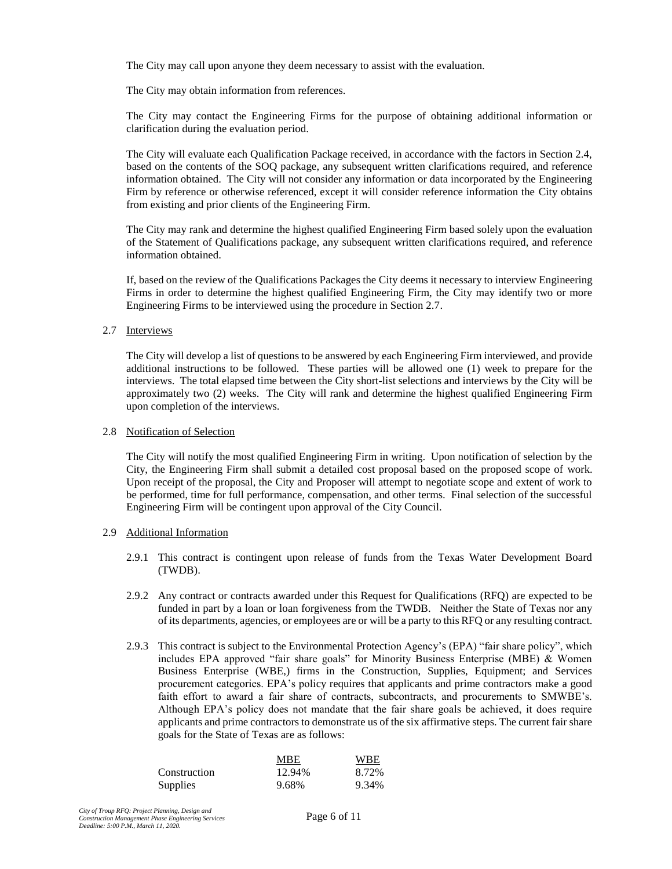The City may call upon anyone they deem necessary to assist with the evaluation.

The City may obtain information from references.

The City may contact the Engineering Firms for the purpose of obtaining additional information or clarification during the evaluation period.

The City will evaluate each Qualification Package received, in accordance with the factors in Section 2.4, based on the contents of the SOQ package, any subsequent written clarifications required, and reference information obtained. The City will not consider any information or data incorporated by the Engineering Firm by reference or otherwise referenced, except it will consider reference information the City obtains from existing and prior clients of the Engineering Firm.

The City may rank and determine the highest qualified Engineering Firm based solely upon the evaluation of the Statement of Qualifications package, any subsequent written clarifications required, and reference information obtained.

If, based on the review of the Qualifications Packages the City deems it necessary to interview Engineering Firms in order to determine the highest qualified Engineering Firm, the City may identify two or more Engineering Firms to be interviewed using the procedure in Section 2.7.

## 2.7 Interviews

The City will develop a list of questions to be answered by each Engineering Firm interviewed, and provide additional instructions to be followed. These parties will be allowed one (1) week to prepare for the interviews. The total elapsed time between the City short-list selections and interviews by the City will be approximately two (2) weeks. The City will rank and determine the highest qualified Engineering Firm upon completion of the interviews.

#### 2.8 Notification of Selection

The City will notify the most qualified Engineering Firm in writing. Upon notification of selection by the City, the Engineering Firm shall submit a detailed cost proposal based on the proposed scope of work. Upon receipt of the proposal, the City and Proposer will attempt to negotiate scope and extent of work to be performed, time for full performance, compensation, and other terms. Final selection of the successful Engineering Firm will be contingent upon approval of the City Council.

#### 2.9 Additional Information

- 2.9.1 This contract is contingent upon release of funds from the Texas Water Development Board (TWDB).
- 2.9.2 Any contract or contracts awarded under this Request for Qualifications (RFQ) are expected to be funded in part by a loan or loan forgiveness from the TWDB. Neither the State of Texas nor any of its departments, agencies, or employees are or will be a party to this RFQ or any resulting contract.
- 2.9.3 This contract is subject to the Environmental Protection Agency's (EPA) "fair share policy", which includes EPA approved "fair share goals" for Minority Business Enterprise (MBE) & Women Business Enterprise (WBE,) firms in the Construction, Supplies, Equipment; and Services procurement categories. EPA's policy requires that applicants and prime contractors make a good faith effort to award a fair share of contracts, subcontracts, and procurements to SMWBE's. Although EPA's policy does not mandate that the fair share goals be achieved, it does require applicants and prime contractors to demonstrate us of the six affirmative steps. The current fair share goals for the State of Texas are as follows:

|                 | MBE    | <b>WBE</b> |
|-----------------|--------|------------|
| Construction    | 12.94% | 8.72%      |
| <b>Supplies</b> | 9.68%  | 9.34%      |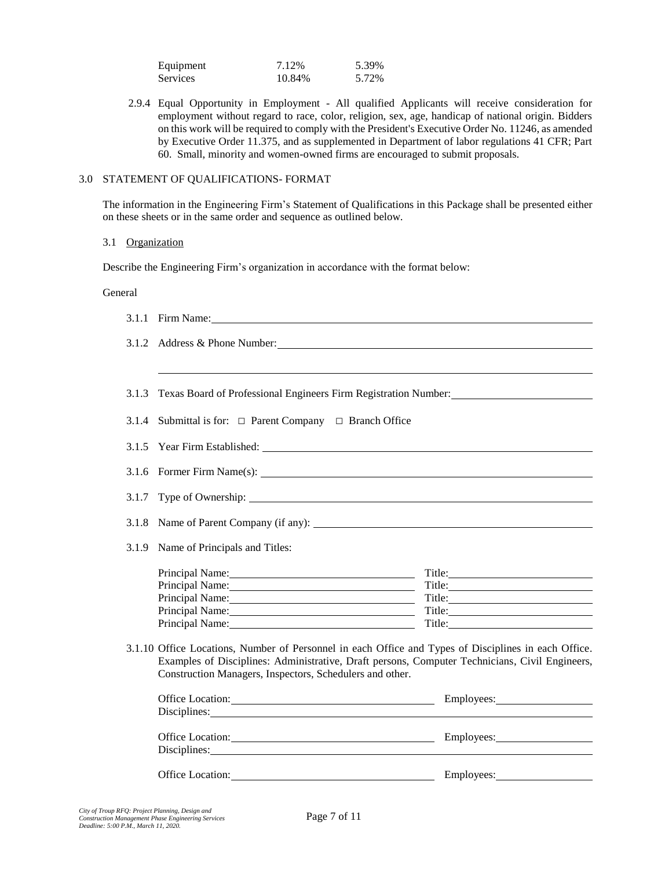| Equipment | 7.12%  | 5.39% |
|-----------|--------|-------|
| Services  | 10.84% | 5.72% |

2.9.4 Equal Opportunity in Employment - All qualified Applicants will receive consideration for employment without regard to race, color, religion, sex, age, handicap of national origin. Bidders on this work will be required to comply with the President's Executive Order No. 11246, as amended by Executive Order 11.375, and as supplemented in Department of labor regulations 41 CFR; Part 60. Small, minority and women-owned firms are encouraged to submit proposals.

# 3.0 STATEMENT OF QUALIFICATIONS- FORMAT

The information in the Engineering Firm's Statement of Qualifications in this Package shall be presented either on these sheets or in the same order and sequence as outlined below.

#### 3.1 Organization

Describe the Engineering Firm's organization in accordance with the format below:

#### General

|       | 3.1.1 Firm Name:                                                                                                                                                                                                                                                   |            |  |
|-------|--------------------------------------------------------------------------------------------------------------------------------------------------------------------------------------------------------------------------------------------------------------------|------------|--|
|       | 3.1.2 Address & Phone Number: 2008 and 2008 and 2008 and 2008 and 2008 and 2008 and 2008 and 2008 and 2008 and 2008 and 2008 and 2008 and 2008 and 2008 and 2008 and 2008 and 2008 and 2008 and 2008 and 2008 and 2008 and 200                                     |            |  |
|       |                                                                                                                                                                                                                                                                    |            |  |
|       | 3.1.3 Texas Board of Professional Engineers Firm Registration Number:                                                                                                                                                                                              |            |  |
| 3.1.4 | Submittal is for: $\Box$ Parent Company $\Box$ Branch Office                                                                                                                                                                                                       |            |  |
|       |                                                                                                                                                                                                                                                                    |            |  |
|       |                                                                                                                                                                                                                                                                    |            |  |
|       |                                                                                                                                                                                                                                                                    |            |  |
| 3.1.8 |                                                                                                                                                                                                                                                                    |            |  |
| 3.1.9 | Name of Principals and Titles:                                                                                                                                                                                                                                     |            |  |
|       |                                                                                                                                                                                                                                                                    |            |  |
|       |                                                                                                                                                                                                                                                                    |            |  |
|       | Principal Name:                                                                                                                                                                                                                                                    |            |  |
|       |                                                                                                                                                                                                                                                                    |            |  |
|       | Principal Name:                                                                                                                                                                                                                                                    | Title:     |  |
|       | 3.1.10 Office Locations, Number of Personnel in each Office and Types of Disciplines in each Office.<br>Examples of Disciplines: Administrative, Draft persons, Computer Technicians, Civil Engineers,<br>Construction Managers, Inspectors, Schedulers and other. |            |  |
|       | Office Location: <u>contract and the set of the set of the set of the set of the set of the set of the set of the set of the set of the set of the set of the set of the set of the set of the set of the set of the set of the </u>                               |            |  |
|       | Disciplines: Note and the set of the set of the set of the set of the set of the set of the set of the set of the set of the set of the set of the set of the set of the set of the set of the set of the set of the set of th                                     |            |  |
|       |                                                                                                                                                                                                                                                                    |            |  |
|       | Disciplines: <u>and the contract of the contract of the contract of the contract of the contract of the contract of the contract of the contract of the contract of the contract of the contract of the contract of the contract</u>                               |            |  |
|       | <b>Office Location:</b>                                                                                                                                                                                                                                            | Employees: |  |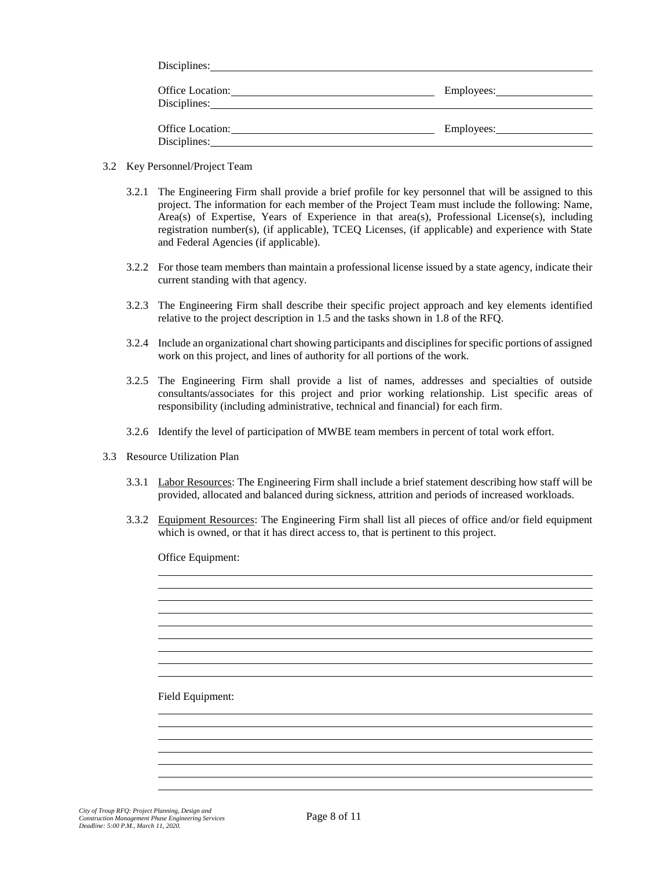| Disciplines:                            |            |
|-----------------------------------------|------------|
| <b>Office Location:</b><br>Disciplines: | Employees: |
| Office Location:<br>Disciplines:        |            |

- 3.2 Key Personnel/Project Team
	- 3.2.1 The Engineering Firm shall provide a brief profile for key personnel that will be assigned to this project. The information for each member of the Project Team must include the following: Name, Area(s) of Expertise, Years of Experience in that area(s), Professional License(s), including registration number(s), (if applicable), TCEQ Licenses, (if applicable) and experience with State and Federal Agencies (if applicable).
	- 3.2.2 For those team members than maintain a professional license issued by a state agency, indicate their current standing with that agency.
	- 3.2.3 The Engineering Firm shall describe their specific project approach and key elements identified relative to the project description in 1.5 and the tasks shown in 1.8 of the RFQ.
	- 3.2.4 Include an organizational chart showing participants and disciplines for specific portions of assigned work on this project, and lines of authority for all portions of the work.
	- 3.2.5 The Engineering Firm shall provide a list of names, addresses and specialties of outside consultants/associates for this project and prior working relationship. List specific areas of responsibility (including administrative, technical and financial) for each firm.
	- 3.2.6 Identify the level of participation of MWBE team members in percent of total work effort.
- 3.3 Resource Utilization Plan
	- 3.3.1 Labor Resources: The Engineering Firm shall include a brief statement describing how staff will be provided, allocated and balanced during sickness, attrition and periods of increased workloads.
	- 3.3.2 Equipment Resources: The Engineering Firm shall list all pieces of office and/or field equipment which is owned, or that it has direct access to, that is pertinent to this project.

Office Equipment:

Field Equipment: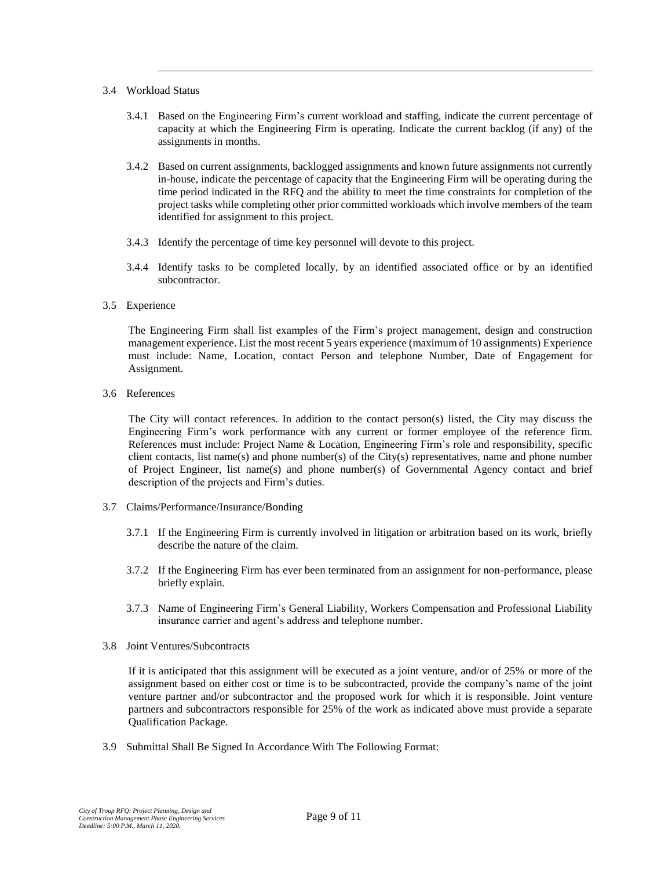## 3.4 Workload Status

- 3.4.1 Based on the Engineering Firm's current workload and staffing, indicate the current percentage of capacity at which the Engineering Firm is operating. Indicate the current backlog (if any) of the assignments in months.
- 3.4.2 Based on current assignments, backlogged assignments and known future assignments not currently in-house, indicate the percentage of capacity that the Engineering Firm will be operating during the time period indicated in the RFQ and the ability to meet the time constraints for completion of the project tasks while completing other prior committed workloads which involve members of the team identified for assignment to this project.
- 3.4.3 Identify the percentage of time key personnel will devote to this project.
- 3.4.4 Identify tasks to be completed locally, by an identified associated office or by an identified subcontractor.
- 3.5 Experience

The Engineering Firm shall list examples of the Firm's project management, design and construction management experience. List the most recent 5 years experience (maximum of 10 assignments) Experience must include: Name, Location, contact Person and telephone Number, Date of Engagement for Assignment.

3.6 References

The City will contact references. In addition to the contact person(s) listed, the City may discuss the Engineering Firm's work performance with any current or former employee of the reference firm. References must include: Project Name & Location, Engineering Firm's role and responsibility, specific client contacts, list name(s) and phone number(s) of the City(s) representatives, name and phone number of Project Engineer, list name(s) and phone number(s) of Governmental Agency contact and brief description of the projects and Firm's duties.

- 3.7 Claims/Performance/Insurance/Bonding
	- 3.7.1 If the Engineering Firm is currently involved in litigation or arbitration based on its work, briefly describe the nature of the claim.
	- 3.7.2 If the Engineering Firm has ever been terminated from an assignment for non-performance, please briefly explain.
	- 3.7.3 Name of Engineering Firm's General Liability, Workers Compensation and Professional Liability insurance carrier and agent's address and telephone number.
- 3.8 Joint Ventures/Subcontracts

If it is anticipated that this assignment will be executed as a joint venture, and/or of 25% or more of the assignment based on either cost or time is to be subcontracted, provide the company's name of the joint venture partner and/or subcontractor and the proposed work for which it is responsible. Joint venture partners and subcontractors responsible for 25% of the work as indicated above must provide a separate Qualification Package.

3.9 Submittal Shall Be Signed In Accordance With The Following Format: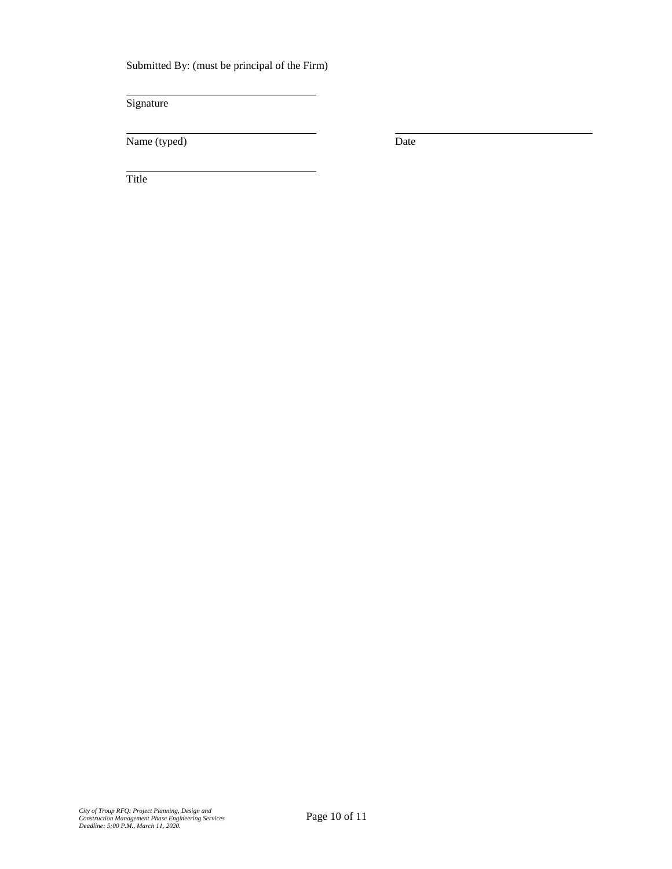Submitted By: (must be principal of the Firm)

Signature

Name (typed) Date

Title